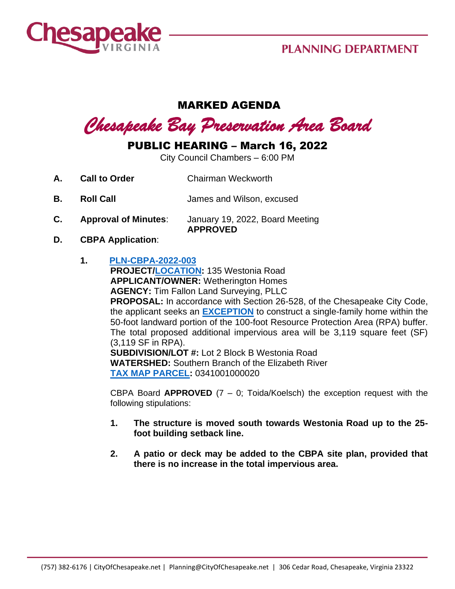

## **PLANNING DEPARTMENT**

## MARKED AGENDA

*Chesapeake Bay Preservation Area Board* 

## PUBLIC HEARING – March 16, 2022

City Council Chambers – 6:00 PM

- **A. Call to Order Chairman Weckworth**
- **B. Roll Call** James and Wilson, excused
- **C. Approval of Minutes**: January 19, 2022, Board Meeting **APPROVED**
- **D. CBPA Application**:
	- **1. [PLN-CBPA-2022-003](https://aca-prod.accela.com/CHESAPEAKE/Cap/CapDetail.aspx?Module=Planning&TabName=Planning&capID1=DUB22&capID2=00000&capID3=001RX&agencyCode=CHESAPEAKE&IsToShowInspection=)**

**PROJECT[/LOCATION:](https://www.cityofchesapeake.net/Assets/supporting_docs/actions_cbpa/2022/2022-03-16/pln-cbpa-2022-003_location_map.jpg)** 135 Westonia Road **APPLICANT/OWNER:** Wetherington Homes **AGENCY:** Tim Fallon Land Surveying, PLLC

**PROPOSAL:** In accordance with Section 26-528, of the Chesapeake City Code, the applicant seeks an **[EXCEPTION](https://www.cityofchesapeake.net/Assets/supporting_docs/actions_cbpa/2022/2022-03-16/PLN-CBPA-2022-003_Staff+Report_20220216+FINAL.pdf)** to construct a single-family home within the 50-foot landward portion of the 100-foot Resource Protection Area (RPA) buffer. The total proposed additional impervious area will be 3,119 square feet (SF) (3,119 SF in RPA).

**SUBDIVISION/LOT #:** Lot 2 Block B Westonia Road **WATERSHED:** Southern Branch of the Elizabeth River **[TAX MAP PARCEL:](https://www.cityofchesapeake.net/Assets/supporting_docs/actions_cbpa/2022/2022-03-16/pln-cbpa-2022-003_aerial.jpg)** 0341001000020

CBPA Board **APPROVED** (7 – 0; Toida/Koelsch) the exception request with the following stipulations:

- **1. The structure is moved south towards Westonia Road up to the 25 foot building setback line.**
- **2. A patio or deck may be added to the CBPA site plan, provided that there is no increase in the total impervious area.**